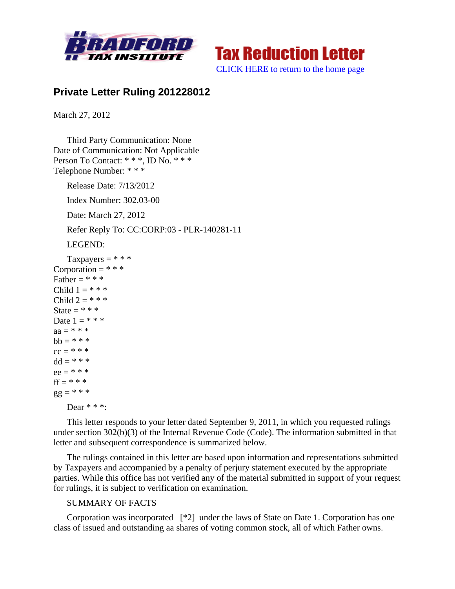



[CLICK HERE to return to the home page](http://bradfordtaxinstitute.com/index1.aspx) 

## **Private Letter Ruling 201228012**

March 27, 2012

Third Party Communication: None Date of Communication: Not Applicable Person To Contact: \* \* \*, ID No. \* \* \* Telephone Number: \* \* \*

Release Date: 7/13/2012

Index Number: 302.03-00

Date: March 27, 2012

Refer Reply To: CC:CORP:03 - PLR-140281-11

LEGEND:

```
Taxpayers = ***Corporation = * * *
Father = * * *
Child 1 = * * * *Child 2 = * * * *State = * * *
Date 1 = * * * *aa = * * * *hh = * * * *cc = * * * *dd = * * * *ee = * * * *ff = * * *gg = * * *Dear * * *:
```
This letter responds to your letter dated September 9, 2011, in which you requested rulings under section 302(b)(3) of the Internal Revenue Code (Code). The information submitted in that letter and subsequent correspondence is summarized below.

The rulings contained in this letter are based upon information and representations submitted by Taxpayers and accompanied by a penalty of perjury statement executed by the appropriate parties. While this office has not verified any of the material submitted in support of your request for rulings, it is subject to verification on examination.

## SUMMARY OF FACTS

Corporation was incorporated [\*2] under the laws of State on Date 1. Corporation has one class of issued and outstanding aa shares of voting common stock, all of which Father owns.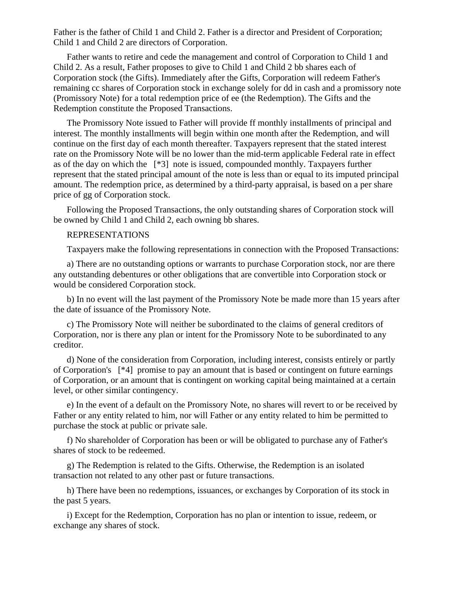Father is the father of Child 1 and Child 2. Father is a director and President of Corporation; Child 1 and Child 2 are directors of Corporation.

Father wants to retire and cede the management and control of Corporation to Child 1 and Child 2. As a result, Father proposes to give to Child 1 and Child 2 bb shares each of Corporation stock (the Gifts). Immediately after the Gifts, Corporation will redeem Father's remaining cc shares of Corporation stock in exchange solely for dd in cash and a promissory note (Promissory Note) for a total redemption price of ee (the Redemption). The Gifts and the Redemption constitute the Proposed Transactions.

The Promissory Note issued to Father will provide ff monthly installments of principal and interest. The monthly installments will begin within one month after the Redemption, and will continue on the first day of each month thereafter. Taxpayers represent that the stated interest rate on the Promissory Note will be no lower than the mid-term applicable Federal rate in effect as of the day on which the [\*3] note is issued, compounded monthly. Taxpayers further represent that the stated principal amount of the note is less than or equal to its imputed principal amount. The redemption price, as determined by a third-party appraisal, is based on a per share price of gg of Corporation stock.

Following the Proposed Transactions, the only outstanding shares of Corporation stock will be owned by Child 1 and Child 2, each owning bb shares.

## REPRESENTATIONS

Taxpayers make the following representations in connection with the Proposed Transactions:

a) There are no outstanding options or warrants to purchase Corporation stock, nor are there any outstanding debentures or other obligations that are convertible into Corporation stock or would be considered Corporation stock.

b) In no event will the last payment of the Promissory Note be made more than 15 years after the date of issuance of the Promissory Note.

c) The Promissory Note will neither be subordinated to the claims of general creditors of Corporation, nor is there any plan or intent for the Promissory Note to be subordinated to any creditor.

d) None of the consideration from Corporation, including interest, consists entirely or partly of Corporation's [\*4] promise to pay an amount that is based or contingent on future earnings of Corporation, or an amount that is contingent on working capital being maintained at a certain level, or other similar contingency.

e) In the event of a default on the Promissory Note, no shares will revert to or be received by Father or any entity related to him, nor will Father or any entity related to him be permitted to purchase the stock at public or private sale.

f) No shareholder of Corporation has been or will be obligated to purchase any of Father's shares of stock to be redeemed.

g) The Redemption is related to the Gifts. Otherwise, the Redemption is an isolated transaction not related to any other past or future transactions.

h) There have been no redemptions, issuances, or exchanges by Corporation of its stock in the past 5 years.

i) Except for the Redemption, Corporation has no plan or intention to issue, redeem, or exchange any shares of stock.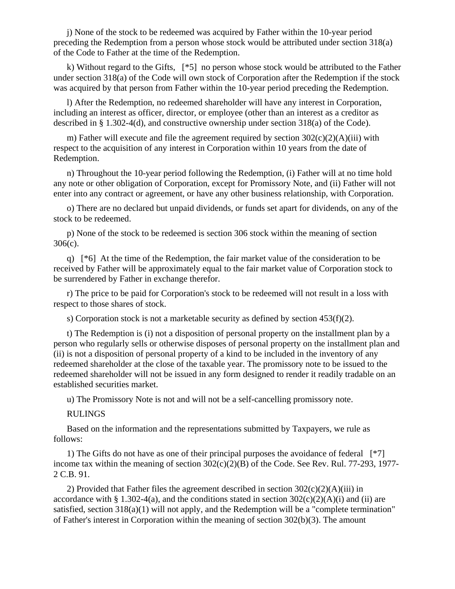j) None of the stock to be redeemed was acquired by Father within the 10-year period preceding the Redemption from a person whose stock would be attributed under section 318(a) of the Code to Father at the time of the Redemption.

k) Without regard to the Gifts, [\*5] no person whose stock would be attributed to the Father under section 318(a) of the Code will own stock of Corporation after the Redemption if the stock was acquired by that person from Father within the 10-year period preceding the Redemption.

l) After the Redemption, no redeemed shareholder will have any interest in Corporation, including an interest as officer, director, or employee (other than an interest as a creditor as described in § 1.302-4(d), and constructive ownership under section 318(a) of the Code).

m) Father will execute and file the agreement required by section  $302(c)(2)(A)(iii)$  with respect to the acquisition of any interest in Corporation within 10 years from the date of Redemption.

n) Throughout the 10-year period following the Redemption, (i) Father will at no time hold any note or other obligation of Corporation, except for Promissory Note, and (ii) Father will not enter into any contract or agreement, or have any other business relationship, with Corporation.

o) There are no declared but unpaid dividends, or funds set apart for dividends, on any of the stock to be redeemed.

p) None of the stock to be redeemed is section 306 stock within the meaning of section 306(c).

q) [\*6] At the time of the Redemption, the fair market value of the consideration to be received by Father will be approximately equal to the fair market value of Corporation stock to be surrendered by Father in exchange therefor.

r) The price to be paid for Corporation's stock to be redeemed will not result in a loss with respect to those shares of stock.

s) Corporation stock is not a marketable security as defined by section 453(f)(2).

t) The Redemption is (i) not a disposition of personal property on the installment plan by a person who regularly sells or otherwise disposes of personal property on the installment plan and (ii) is not a disposition of personal property of a kind to be included in the inventory of any redeemed shareholder at the close of the taxable year. The promissory note to be issued to the redeemed shareholder will not be issued in any form designed to render it readily tradable on an established securities market.

u) The Promissory Note is not and will not be a self-cancelling promissory note.

RULINGS

Based on the information and the representations submitted by Taxpayers, we rule as follows:

1) The Gifts do not have as one of their principal purposes the avoidance of federal [\*7] income tax within the meaning of section 302(c)(2)(B) of the Code. See Rev. Rul. 77-293, 1977- 2 C.B. 91.

2) Provided that Father files the agreement described in section  $302(c)(2)(A)(iii)$  in accordance with § 1.302-4(a), and the conditions stated in section  $302(c)(2)(A)(i)$  and (ii) are satisfied, section  $318(a)(1)$  will not apply, and the Redemption will be a "complete termination" of Father's interest in Corporation within the meaning of section 302(b)(3). The amount